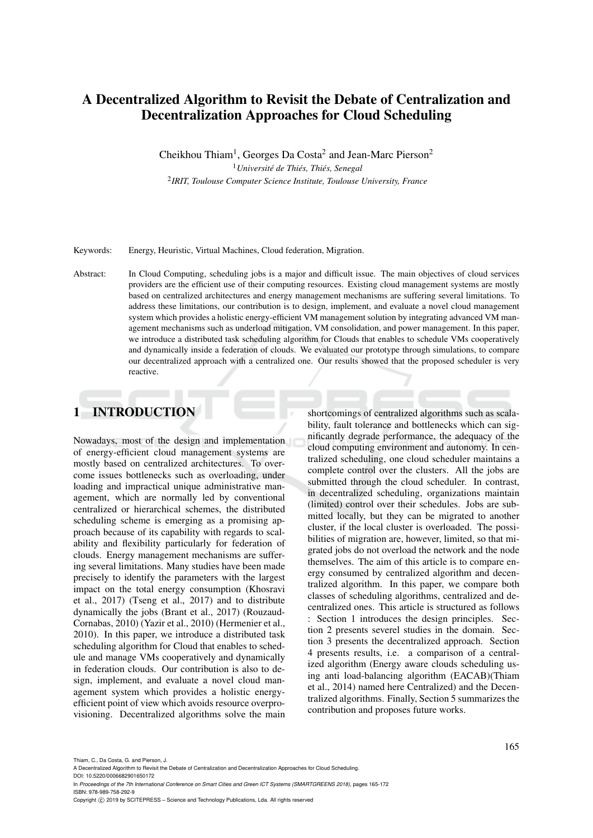# A Decentralized Algorithm to Revisit the Debate of Centralization and Decentralization Approaches for Cloud Scheduling

Cheikhou Thiam<sup>1</sup>, Georges Da Costa<sup>2</sup> and Jean-Marc Pierson<sup>2</sup>

<sup>1</sup> Université de Thiés, Thiés, Senegal 2 *IRIT, Toulouse Computer Science Institute, Toulouse University, France*

Keywords: Energy, Heuristic, Virtual Machines, Cloud federation, Migration.

Abstract: In Cloud Computing, scheduling jobs is a major and difficult issue. The main objectives of cloud services providers are the efficient use of their computing resources. Existing cloud management systems are mostly based on centralized architectures and energy management mechanisms are suffering several limitations. To address these limitations, our contribution is to design, implement, and evaluate a novel cloud management system which provides a holistic energy-efficient VM management solution by integrating advanced VM management mechanisms such as underload mitigation, VM consolidation, and power management. In this paper, we introduce a distributed task scheduling algorithm for Clouds that enables to schedule VMs cooperatively and dynamically inside a federation of clouds. We evaluated our prototype through simulations, to compare our decentralized approach with a centralized one. Our results showed that the proposed scheduler is very reactive.

# 1 INTRODUCTION

Nowadays, most of the design and implementation of energy-efficient cloud management systems are mostly based on centralized architectures. To overcome issues bottlenecks such as overloading, under loading and impractical unique administrative management, which are normally led by conventional centralized or hierarchical schemes, the distributed scheduling scheme is emerging as a promising approach because of its capability with regards to scalability and flexibility particularly for federation of clouds. Energy management mechanisms are suffering several limitations. Many studies have been made precisely to identify the parameters with the largest impact on the total energy consumption (Khosravi et al., 2017) (Tseng et al., 2017) and to distribute dynamically the jobs (Brant et al., 2017) (Rouzaud-Cornabas, 2010) (Yazir et al., 2010) (Hermenier et al., 2010). In this paper, we introduce a distributed task scheduling algorithm for Cloud that enables to schedule and manage VMs cooperatively and dynamically in federation clouds. Our contribution is also to design, implement, and evaluate a novel cloud management system which provides a holistic energyefficient point of view which avoids resource overprovisioning. Decentralized algorithms solve the main

shortcomings of centralized algorithms such as scalability, fault tolerance and bottlenecks which can significantly degrade performance, the adequacy of the cloud computing environment and autonomy. In centralized scheduling, one cloud scheduler maintains a complete control over the clusters. All the jobs are submitted through the cloud scheduler. In contrast, in decentralized scheduling, organizations maintain (limited) control over their schedules. Jobs are submitted locally, but they can be migrated to another cluster, if the local cluster is overloaded. The possibilities of migration are, however, limited, so that migrated jobs do not overload the network and the node themselves. The aim of this article is to compare energy consumed by centralized algorithm and decentralized algorithm. In this paper, we compare both classes of scheduling algorithms, centralized and decentralized ones. This article is structured as follows : Section 1 introduces the design principles. Section 2 presents severel studies in the domain. Section 3 presents the decentralized approach. Section 4 presents results, i.e. a comparison of a centralized algorithm (Energy aware clouds scheduling using anti load-balancing algorithm (EACAB)(Thiam et al., 2014) named here Centralized) and the Decentralized algorithms. Finally, Section 5 summarizes the contribution and proposes future works.

Thiam, C., Da Costa, G. and Pierson, J.

A Decentralized Algorithm to Revisit the Debate of Centralization and Decentralization Approaches for Cloud Scheduling. DOI: 10.5220/0006682901650172

In *Proceedings of the 7th International Conference on Smart Cities and Green ICT Systems (SMARTGREENS 2018)*, pages 165-172 ISBN: 978-989-758-292-9

Copyright (C) 2019 by SCITEPRESS - Science and Technology Publications, Lda. All rights reserved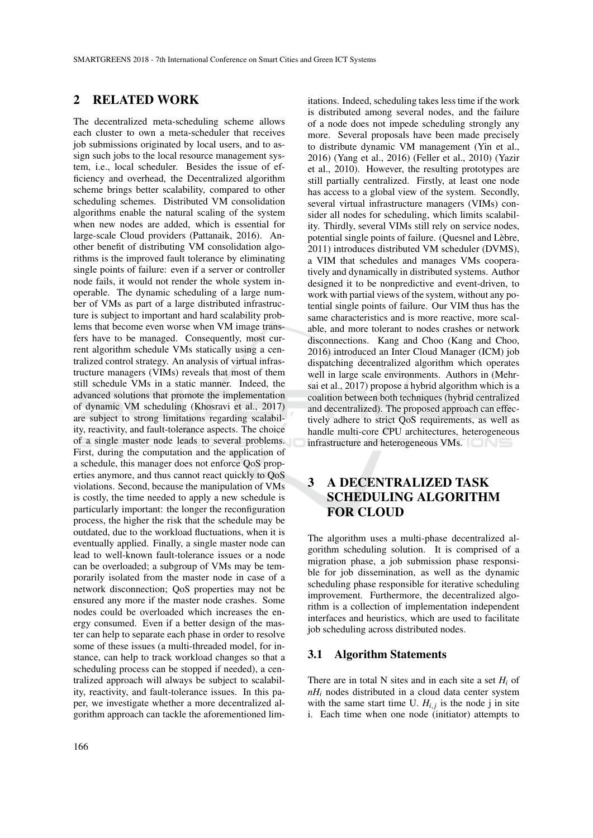## 2 RELATED WORK

The decentralized meta-scheduling scheme allows each cluster to own a meta-scheduler that receives job submissions originated by local users, and to assign such jobs to the local resource management system, i.e., local scheduler. Besides the issue of efficiency and overhead, the Decentralized algorithm scheme brings better scalability, compared to other scheduling schemes. Distributed VM consolidation algorithms enable the natural scaling of the system when new nodes are added, which is essential for large-scale Cloud providers (Pattanaik, 2016). Another benefit of distributing VM consolidation algorithms is the improved fault tolerance by eliminating single points of failure: even if a server or controller node fails, it would not render the whole system inoperable. The dynamic scheduling of a large number of VMs as part of a large distributed infrastructure is subject to important and hard scalability problems that become even worse when VM image transfers have to be managed. Consequently, most current algorithm schedule VMs statically using a centralized control strategy. An analysis of virtual infrastructure managers (VIMs) reveals that most of them still schedule VMs in a static manner. Indeed, the advanced solutions that promote the implementation of dynamic VM scheduling (Khosravi et al., 2017) are subject to strong limitations regarding scalability, reactivity, and fault-tolerance aspects. The choice of a single master node leads to several problems. First, during the computation and the application of a schedule, this manager does not enforce QoS properties anymore, and thus cannot react quickly to QoS violations. Second, because the manipulation of VMs is costly, the time needed to apply a new schedule is particularly important: the longer the reconfiguration process, the higher the risk that the schedule may be outdated, due to the workload fluctuations, when it is eventually applied. Finally, a single master node can lead to well-known fault-tolerance issues or a node can be overloaded; a subgroup of VMs may be temporarily isolated from the master node in case of a network disconnection; QoS properties may not be ensured any more if the master node crashes. Some nodes could be overloaded which increases the energy consumed. Even if a better design of the master can help to separate each phase in order to resolve some of these issues (a multi-threaded model, for instance, can help to track workload changes so that a scheduling process can be stopped if needed), a centralized approach will always be subject to scalability, reactivity, and fault-tolerance issues. In this paper, we investigate whether a more decentralized algorithm approach can tackle the aforementioned lim-

itations. Indeed, scheduling takes less time if the work is distributed among several nodes, and the failure of a node does not impede scheduling strongly any more. Several proposals have been made precisely to distribute dynamic VM management (Yin et al., 2016) (Yang et al., 2016) (Feller et al., 2010) (Yazir et al., 2010). However, the resulting prototypes are still partially centralized. Firstly, at least one node has access to a global view of the system. Secondly, several virtual infrastructure managers (VIMs) consider all nodes for scheduling, which limits scalability. Thirdly, several VIMs still rely on service nodes, potential single points of failure. (Quesnel and Lebre, ` 2011) introduces distributed VM scheduler (DVMS), a VIM that schedules and manages VMs cooperatively and dynamically in distributed systems. Author designed it to be nonpredictive and event-driven, to work with partial views of the system, without any potential single points of failure. Our VIM thus has the same characteristics and is more reactive, more scalable, and more tolerant to nodes crashes or network disconnections. Kang and Choo (Kang and Choo, 2016) introduced an Inter Cloud Manager (ICM) job dispatching decentralized algorithm which operates well in large scale environments. Authors in (Mehrsai et al., 2017) propose a hybrid algorithm which is a coalition between both techniques (hybrid centralized and decentralized). The proposed approach can effectively adhere to strict QoS requirements, as well as handle multi-core CPU architectures, heterogeneous infrastructure and heterogeneous VMs.

# 3 A DECENTRALIZED TASK SCHEDULING ALGORITHM FOR CLOUD

The algorithm uses a multi-phase decentralized algorithm scheduling solution. It is comprised of a migration phase, a job submission phase responsible for job dissemination, as well as the dynamic scheduling phase responsible for iterative scheduling improvement. Furthermore, the decentralized algorithm is a collection of implementation independent interfaces and heuristics, which are used to facilitate job scheduling across distributed nodes.

#### 3.1 Algorithm Statements

There are in total N sites and in each site a set *H<sup>i</sup>* of *nH<sup>i</sup>* nodes distributed in a cloud data center system with the same start time U.  $H_{i,j}$  is the node j in site i. Each time when one node (initiator) attempts to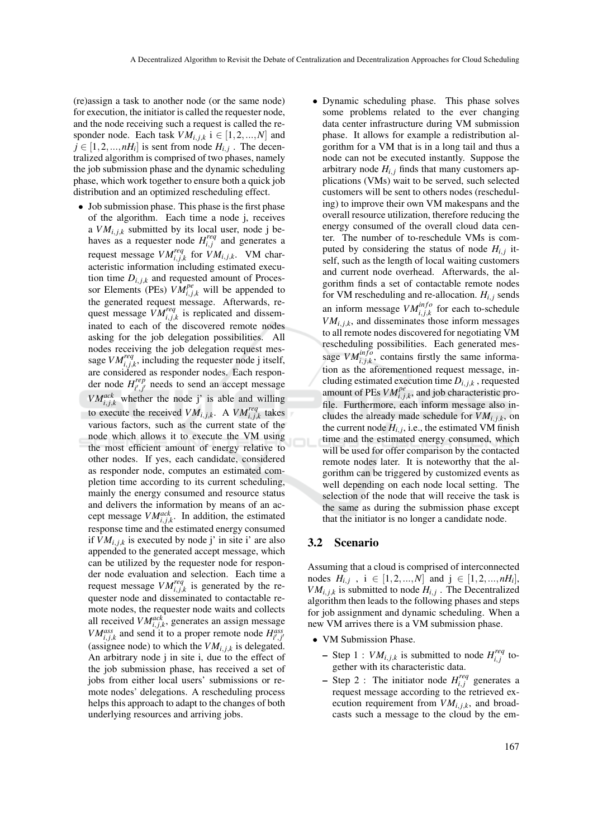(re)assign a task to another node (or the same node) for execution, the initiator is called the requester node, and the node receiving such a request is called the responder node. Each task  $VM_{i,j,k}$  i  $\in [1,2,...,N]$  and  $j \in [1, 2, ..., nH_i]$  is sent from node  $H_{i,j}$ . The decentralized algorithm is comprised of two phases, namely the job submission phase and the dynamic scheduling phase, which work together to ensure both a quick job distribution and an optimized rescheduling effect.

- Job submission phase. This phase is the first phase of the algorithm. Each time a node j, receives a  $VM_{i,j,k}$  submitted by its local user, node j behaves as a requester node  $H_{i,j}^{req}$  and generates a request message  $VM_{i,j,k}^{req}$  for  $VM_{i,j,k}$ . VM characteristic information including estimated execution time  $D_{i, j,k}$  and requested amount of Processor Elements (PEs)  $VM_{i,j,k}^{pe}$  will be appended to the generated request message. Afterwards, request message  $VM_{i,j,k}^{req}$  is replicated and disseminated to each of the discovered remote nodes asking for the job delegation possibilities. All nodes receiving the job delegation request message  $VM_{i,j,k}^{req}$ , including the requester node j itself, are considered as responder nodes. Each responder node *H rep*  $\int_{i',j'}^{i' \neq p}$  needs to send an accept message  $VM_{i,j,k}^{ack}$  whether the node j' is able and willing to execute the received  $VM_{i,j,k}$ . A  $VM_{i,j,k}^{req}$  takes various factors, such as the current state of the node which allows it to execute the VM using the most efficient amount of energy relative to other nodes. If yes, each candidate, considered as responder node, computes an estimated completion time according to its current scheduling, mainly the energy consumed and resource status and delivers the information by means of an accept message  $VM_{i,j,k}^{ack}$ . In addition, the estimated response time and the estimated energy consumed if  $VM_{i,j,k}$  is executed by node j' in site i' are also appended to the generated accept message, which can be utilized by the requester node for responder node evaluation and selection. Each time a request message  $VM_{i,j,k}^{req}$  is generated by the requester node and disseminated to contactable remote nodes, the requester node waits and collects all received *VMack i*, *j*,*k* , generates an assign message *VM*<sup>ass</sup><sub>*i*</sub>,*j*,*k*</sub> and send it to a proper remote node  $H_{i',j'}^{ass}$ (assignee node) to which the  $VM_{i,j,k}$  is delegated. An arbitrary node j in site i, due to the effect of the job submission phase, has received a set of jobs from either local users' submissions or remote nodes' delegations. A rescheduling process helps this approach to adapt to the changes of both underlying resources and arriving jobs.
- Dynamic scheduling phase. This phase solves some problems related to the ever changing data center infrastructure during VM submission phase. It allows for example a redistribution algorithm for a VM that is in a long tail and thus a node can not be executed instantly. Suppose the arbitrary node  $H_{i,i}$  finds that many customers applications (VMs) wait to be served, such selected customers will be sent to others nodes (rescheduling) to improve their own VM makespans and the overall resource utilization, therefore reducing the energy consumed of the overall cloud data center. The number of to-reschedule VMs is computed by considering the status of node  $H_{i,j}$  itself, such as the length of local waiting customers and current node overhead. Afterwards, the algorithm finds a set of contactable remote nodes for VM rescheduling and re-allocation.  $H_{i,j}$  sends an inform message  $VM_{i,j,k}^{info}$  for each to-schedule  $VM_{i,i,k}$ , and disseminates those inform messages to all remote nodes discovered for negotiating VM rescheduling possibilities. Each generated message  $VM_{i,j,k}^{info}$ , contains firstly the same information as the aforementioned request message, including estimated execution time  $D_{i,j,k}$ , requested amount of PEs  $VM_{i,j,k}^{pe}$ , and job characteristic profile. Furthermore, each inform message also includes the already made schedule for  $VM_{i,j,k}$ , on the current node  $H_{i,j}$ , i.e., the estimated VM finish time and the estimated energy consumed, which will be used for offer comparison by the contacted remote nodes later. It is noteworthy that the algorithm can be triggered by customized events as well depending on each node local setting. The selection of the node that will receive the task is the same as during the submission phase except that the initiator is no longer a candidate node.

### 3.2 Scenario

Assuming that a cloud is comprised of interconnected nodes  $H_{i,j}$ ,  $i \in [1,2,...,N]$  and  $j \in [1,2,...,nH_i]$ ,  $VM_{i,j,k}$  is submitted to node  $H_{i,j}$ . The Decentralized algorithm then leads to the following phases and steps for job assignment and dynamic scheduling. When a new VM arrives there is a VM submission phase.

- VM Submission Phase.
	- $-$  Step 1 :  $VM_{i,j,k}$  is submitted to node  $H_{i,j}^{req}$  together with its characteristic data.
	- $-$  Step 2 : The initiator node  $H_{i,j}^{req}$  generates a request message according to the retrieved execution requirement from  $VM_{i,j,k}$ , and broadcasts such a message to the cloud by the em-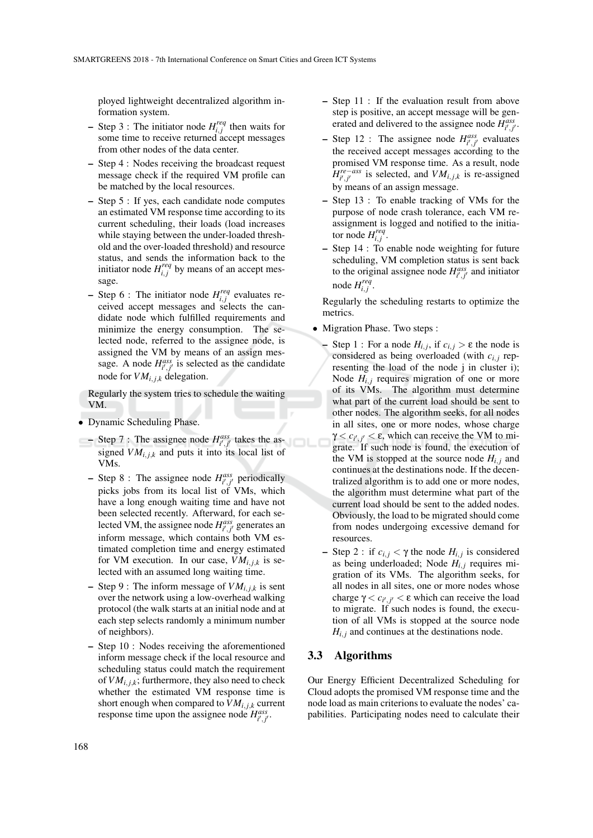ployed lightweight decentralized algorithm information system.

- $-$  Step 3 : The initiator node  $H_{i,j}^{req}$  then waits for some time to receive returned accept messages from other nodes of the data center.
- Step 4 : Nodes receiving the broadcast request message check if the required VM profile can be matched by the local resources.
- Step 5 : If yes, each candidate node computes an estimated VM response time according to its current scheduling, their loads (load increases while staying between the under-loaded threshold and the over-loaded threshold) and resource status, and sends the information back to the initiator node  $H_{i,j}^{req}$  by means of an accept message.
- $-$  Step 6 : The initiator node  $H_{i,j}^{req}$  evaluates received accept messages and selects the candidate node which fulfilled requirements and minimize the energy consumption. The selected node, referred to the assignee node, is assigned the VM by means of an assign message. A node  $H_{i',j'}^{ass}$  is selected as the candidate node for  $VM_{i,j,k}$  delegation.

Regularly the system tries to schedule the waiting VM.

- Dynamic Scheduling Phase.
- $-$  Step 7 : The assignee node  $H_{i',j'}^{ass}$  takes the assigned  $VM_{i,j,k}$  and puts it into its local list of VMs.
	- $-$  Step 8 : The assignee node  $H_{i',j'}^{ass}$  periodically picks jobs from its local list of VMs, which have a long enough waiting time and have not been selected recently. Afterward, for each selected VM, the assignee node  $H_{i',j'}^{ass}$  generates an inform message, which contains both VM estimated completion time and energy estimated for VM execution. In our case,  $VM_{i,j,k}$  is selected with an assumed long waiting time.
- Step 9 : The inform message of  $VM_{i,j,k}$  is sent over the network using a low-overhead walking protocol (the walk starts at an initial node and at each step selects randomly a minimum number of neighbors).
- Step 10 : Nodes receiving the aforementioned inform message check if the local resource and scheduling status could match the requirement of  $VM_{i,i,k}$ ; furthermore, they also need to check whether the estimated VM response time is short enough when compared to  $VM_{i,j,k}$  current response time upon the assignee node  $H_{i',j'}^{ass}$ .
- Step 11 : If the evaluation result from above step is positive, an accept message will be generated and delivered to the assignee node  $H_{i',j'}^{ass}$ .
- $-$  Step 12 : The assignee node  $H_{i',j'}^{ass}$  evaluates the received accept messages according to the promised VM response time. As a result, node  $\hat{H}^{re-ass}_{i',j'}$  is selected, and  $VM_{i,j,k}$  is re-assigned by means of an assign message.
- Step 13 : To enable tracking of VMs for the purpose of node crash tolerance, each VM reassignment is logged and notified to the initiator node  $H_{i,j}^{req}$ .
- Step 14 : To enable node weighting for future scheduling, VM completion status is sent back to the original assignee node  $H_{i',j'}^{ass}$  and initiator node  $H_{i,j}^{req}$ .

Regularly the scheduling restarts to optimize the metrics.

- Migration Phase. Two steps :
	- Step 1 : For a node  $H_{i,j}$ , if  $c_{i,j} > ε$  the node is considered as being overloaded (with  $c_{i,j}$  representing the load of the node j in cluster i); Node  $H_{i,j}$  requires migration of one or more of its VMs. The algorithm must determine what part of the current load should be sent to other nodes. The algorithm seeks, for all nodes in all sites, one or more nodes, whose charge  $\gamma < c_{i',j'} < \varepsilon$ , which can receive the VM to migrate. If such node is found, the execution of the VM is stopped at the source node  $H_{i,j}$  and continues at the destinations node. If the decentralized algorithm is to add one or more nodes, the algorithm must determine what part of the current load should be sent to the added nodes. Obviously, the load to be migrated should come from nodes undergoing excessive demand for resources.
	- Step 2 : if  $c_{i,j} < \gamma$  the node  $H_{i,j}$  is considered as being underloaded; Node *Hi*, *<sup>j</sup>* requires migration of its VMs. The algorithm seeks, for all nodes in all sites, one or more nodes whose charge  $\gamma < c_{i',j'} < ε$  which can receive the load to migrate. If such nodes is found, the execution of all VMs is stopped at the source node  $H_{i,j}$  and continues at the destinations node.

### 3.3 Algorithms

Our Energy Efficient Decentralized Scheduling for Cloud adopts the promised VM response time and the node load as main criterions to evaluate the nodes' capabilities. Participating nodes need to calculate their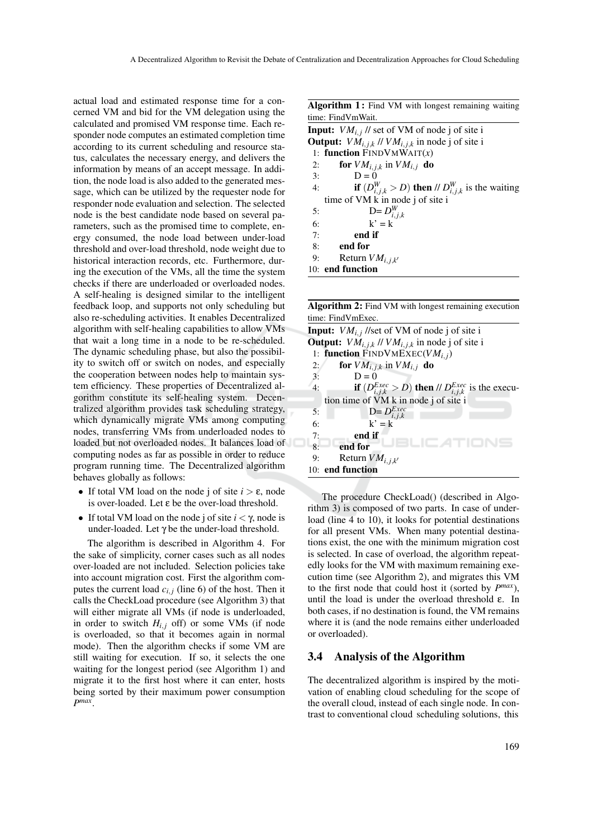actual load and estimated response time for a concerned VM and bid for the VM delegation using the calculated and promised VM response time. Each responder node computes an estimated completion time according to its current scheduling and resource status, calculates the necessary energy, and delivers the information by means of an accept message. In addition, the node load is also added to the generated message, which can be utilized by the requester node for responder node evaluation and selection. The selected node is the best candidate node based on several parameters, such as the promised time to complete, energy consumed, the node load between under-load threshold and over-load threshold, node weight due to historical interaction records, etc. Furthermore, during the execution of the VMs, all the time the system checks if there are underloaded or overloaded nodes. A self-healing is designed similar to the intelligent feedback loop, and supports not only scheduling but also re-scheduling activities. It enables Decentralized algorithm with self-healing capabilities to allow VMs that wait a long time in a node to be re-scheduled. The dynamic scheduling phase, but also the possibility to switch off or switch on nodes, and especially the cooperation between nodes help to maintain system efficiency. These properties of Decentralized algorithm constitute its self-healing system. Decentralized algorithm provides task scheduling strategy, which dynamically migrate VMs among computing nodes, transferring VMs from underloaded nodes to loaded but not overloaded nodes. It balances load of computing nodes as far as possible in order to reduce program running time. The Decentralized algorithm behaves globally as follows:

- If total VM load on the node j of site  $i > \varepsilon$ , node is over-loaded. Let ε be the over-load threshold.
- If total VM load on the node j of site  $i < \gamma$ , node is under-loaded. Let  $\gamma$  be the under-load threshold.

The algorithm is described in Algorithm 4. For the sake of simplicity, corner cases such as all nodes over-loaded are not included. Selection policies take into account migration cost. First the algorithm computes the current load  $c_{i,j}$  (line 6) of the host. Then it calls the CheckLoad procedure (see Algorithm 3) that will either migrate all VMs (if node is underloaded, in order to switch  $H_{i,j}$  off) or some VMs (if node is overloaded, so that it becomes again in normal mode). Then the algorithm checks if some VM are still waiting for execution. If so, it selects the one waiting for the longest period (see Algorithm 1) and migrate it to the first host where it can enter, hosts being sorted by their maximum power consumption *P max* .

Algorithm 1: Find VM with longest remaining waiting time: FindVmWait. **Input:**  $VM_{i,j}$  // set of VM of node j of site i **Output:**  $VM_{i,j,k}$  //  $VM_{i,j,k}$  in node j of site i

1: function FINDVMWAIT(*x*) 2: **for**  $VM_{i,j,k}$  in  $VM_{i,j}$  do 3:  $D = 0$ 4: **if**  $(D_{i,j,k}^W > D)$  then //  $D_{i,j,k}^W$  is the waiting time of VM k in node j of site i 5:  $D = D_{i,j,k}^W$ 6:  $k' = k$ 7: end if 8: end for 9: Return  $VM_{i,j,k'}$ 

10: end function

Algorithm 2: Find VM with longest remaining execution time: FindVmExec.

|    | <b>Input:</b> $VM_{i,j}$ //set of VM of node j of site i                    |
|----|-----------------------------------------------------------------------------|
|    | <b>Output:</b> $VM_{i,j,k}$ // $VM_{i,j,k}$ in node j of site i             |
|    | 1: function FINDVMEXEC( $VM_{i,j}$ )                                        |
| 2: | for $VM_{i,j,k}$ in $VM_{i,j}$ do                                           |
| 3: | $D=0$                                                                       |
| 4: | <b>if</b> $(D_{i,j,k}^{Exec} > D)$ then // $D_{i,j,k}^{Exec}$ is the execu- |
|    | tion time of VM k in node j of site i                                       |
| 5: | $D = D_{i,j,k}^{Exec}$                                                      |
| 6: | $k' = k$                                                                    |
| 7: | end if                                                                      |
| 8: | end for                                                                     |
| 9: | Return $VM_{i,j,k'}$                                                        |
|    | 10: end function                                                            |
|    |                                                                             |

The procedure CheckLoad() (described in Algorithm 3) is composed of two parts. In case of underload (line 4 to 10), it looks for potential destinations for all present VMs. When many potential destinations exist, the one with the minimum migration cost is selected. In case of overload, the algorithm repeatedly looks for the VM with maximum remaining execution time (see Algorithm 2), and migrates this VM to the first node that could host it (sorted by  $P^{max}$ ), until the load is under the overload threshold ε. In both cases, if no destination is found, the VM remains where it is (and the node remains either underloaded or overloaded).

### 3.4 Analysis of the Algorithm

The decentralized algorithm is inspired by the motivation of enabling cloud scheduling for the scope of the overall cloud, instead of each single node. In contrast to conventional cloud scheduling solutions, this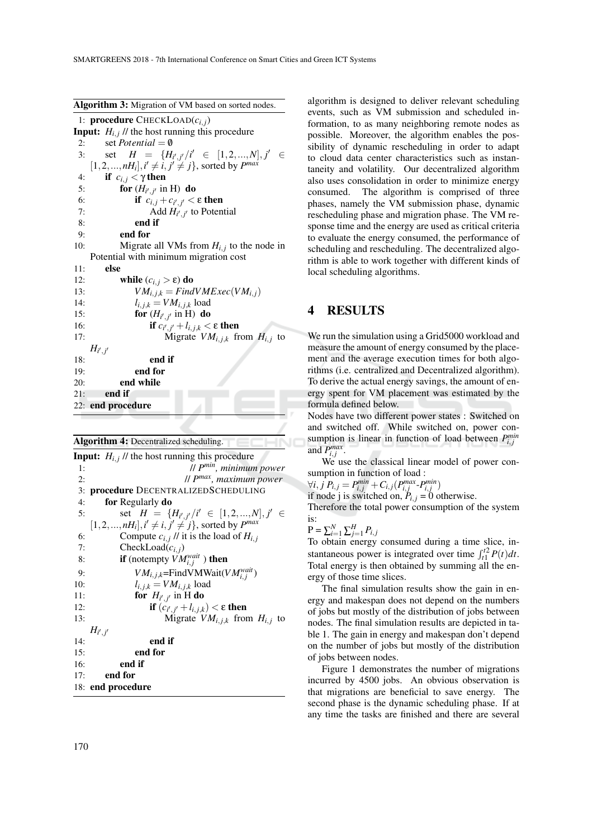Algorithm 3: Migration of VM based on sorted nodes.

1: procedure CHECKLOAD(*ci*, *<sup>j</sup>*) **Input:**  $H_{i,j}$  // the host running this procedure 2: set *Potential* =  $\emptyset$ 3: set  $H = \{H_{i',j'}/i' \in [1,2,...,N], j' \in [0,1]\}$  $[1, 2, ..., nH_i], i' \neq i, j' \neq j\}$ , sorted by  $P^{max}$ 4: **if**  $c_{i,j} < \gamma$  then 5: **for**  $(H_{i',j'}$  in H) do 6: **if**  $c_{i,j} + c_{i',j'} < \varepsilon$  then 7: Add  $H_{i',j'}$  to Potential 8: end if 9: end for 10: Migrate all VMs from  $H_{i,j}$  to the node in Potential with minimum migration cost 11: else 12: **while**  $(c_{i,j} > ε)$  do 13:  $VM_{i,j,k} = FindVMExec(VM_{i,j})$ 14:  $l_{i, j, k} = VM_{i, j, k}$  load 15: **for**  $(H_{i',j'}$  in H) do 16: **if**  $c_{i',j'} + l_{i,j,k} < ε$  **then** 17: Migrate  $VM_{i,j,k}$  from  $H_{i,j}$  to  $H_{i',j'}$ 18: end if 19: end for 20: end while  $21:$  end if 22: end procedure

### Algorithm 4: Decentralized scheduling.

**Input:**  $H_{i,j}$  // the host running this procedure 1: // *P min, minimum power* 2: // *P max, maximum power* 3: procedure DECENTRALIZEDSCHEDULING 4: for Regularly do 5: set  $H = \{H_{i',j'}/i' \in [1,2,...,N], j' \in [N] \}$  $[1, 2, ..., nH_i], i' \neq i, j' \neq j\}$ , sorted by *P<sup>max</sup>* 6: Compute  $c_{i,j}$  // it is the load of  $H_{i,j}$ 7: **CheckLoad** $(c_{i,j})$ <br>8: **if** (notempty *VM* 8: **if** (notempty  $\widehat{V}M_{i,j}^{wait}$ ) then 9:  $VM_{i,j,k} = \text{FindVMWait}(VM_{i,j}^{wait})$ 10:  $l_{i,j,k} = VM_{i,j,k}$  load 11: **for**  $H_{i',j'}$  in H do 12: **if**  $(c_{i',j'} + l_{i,j,k}) < ε$  then 13: Migrate  $VM_{i,j,k}$  from  $H_{i,j}$  to  $H_{i',j'}$ 14: end if 15: end for 16: end if 17: end for 18: end procedure

algorithm is designed to deliver relevant scheduling events, such as VM submission and scheduled information, to as many neighboring remote nodes as possible. Moreover, the algorithm enables the possibility of dynamic rescheduling in order to adapt to cloud data center characteristics such as instantaneity and volatility. Our decentralized algorithm also uses consolidation in order to minimize energy consumed. The algorithm is comprised of three phases, namely the VM submission phase, dynamic rescheduling phase and migration phase. The VM response time and the energy are used as critical criteria to evaluate the energy consumed, the performance of scheduling and rescheduling. The decentralized algorithm is able to work together with different kinds of local scheduling algorithms.

## 4 RESULTS

We run the simulation using a Grid5000 workload and measure the amount of energy consumed by the placement and the average execution times for both algorithms (i.e. centralized and Decentralized algorithm). To derive the actual energy savings, the amount of energy spent for VM placement was estimated by the formula defined below.

Nodes have two different power states : Switched on and switched off. While switched on, power consumption is linear in function of load between  $P_{i,j}^{min}$ and  $P_{i,j}^{max}$ .

We use the classical linear model of power consumption in function of load :

 $\forall i, j \ P_{i,j} = P_{i,j}^{min} + C_{i,j} (P_{i,j}^{max} \cdot P_{i,j}^{min})$ 

if node j is switched on,  $P_{i,j} = 0$  otherwise.

Therefore the total power consumption of the system is:

$$
\mathbf{P} = \sum_{i=1}^{N} \sum_{j=1}^{H} P_{i,j}
$$

To obtain energy consumed during a time slice, instantaneous power is integrated over time  $\int_{t_1}^{t_2} P(t) dt$ . Total energy is then obtained by summing all the energy of those time slices.

The final simulation results show the gain in energy and makespan does not depend on the numbers of jobs but mostly of the distribution of jobs between nodes. The final simulation results are depicted in table 1. The gain in energy and makespan don't depend on the number of jobs but mostly of the distribution of jobs between nodes.

Figure 1 demonstrates the number of migrations incurred by 4500 jobs. An obvious observation is that migrations are beneficial to save energy. The second phase is the dynamic scheduling phase. If at any time the tasks are finished and there are several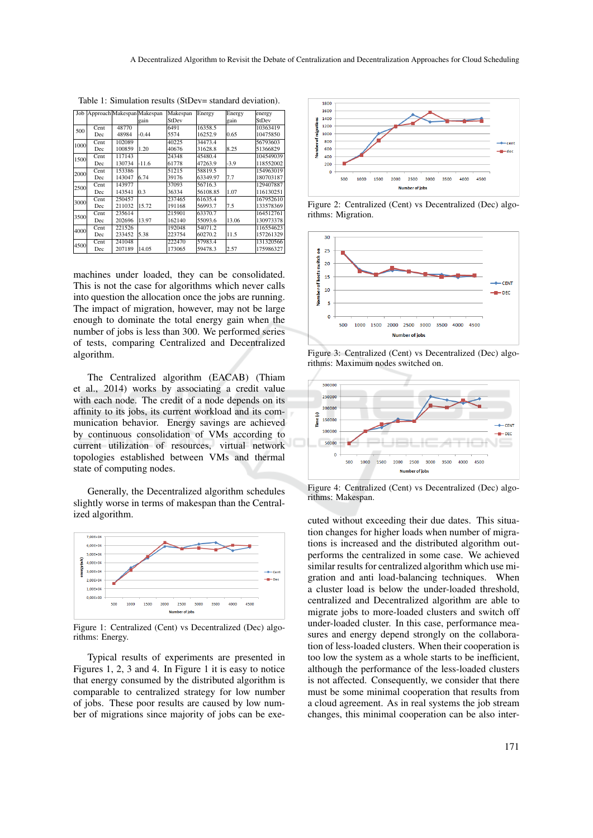|      |      |        | Job Approach Makespan Makespan | Makespan | Energy   | Energy | energy    |
|------|------|--------|--------------------------------|----------|----------|--------|-----------|
|      |      |        | gain                           | StDev    |          | gain   | StDev     |
| 500  | Cent | 48770  |                                | 6491     | 16358.5  |        | 10363419  |
|      | Dec  | 48984  | $-0.44$                        | 5574     | 16252.9  | 0.65   | 10475850  |
| 1000 | Cent | 102089 |                                | 40225    | 34473.4  |        | 56793603  |
|      | Dec  | 100859 | 1.20                           | 40676    | 31628.8  | 8.25   | 51366829  |
| 1500 | Cent | 117143 |                                | 24348    | 45480.4  |        | 104549039 |
|      | Dec  | 130734 | $-11.6$                        | 61778    | 47263.9  | $-3.9$ | 118552002 |
| 2000 | Cent | 153386 |                                | 51215    | 58819.5  |        | 154963019 |
|      | Dec  | 143047 | 6.74                           | 39176    | 63349.97 | 7.7    | 180703187 |
| 2500 | Cent | 143977 |                                | 37093    | 56716.3  |        | 129407887 |
|      | Dec  | 143541 | 0.3                            | 36334    | 56108.85 | 1.07   | 116130251 |
| 3000 | Cent | 250457 |                                | 237465   | 61635.4  |        | 167952610 |
|      | Dec  | 211032 | 15.72                          | 191168   | 56993.7  | 7.5    | 133578369 |
| 3500 | Cent | 235614 |                                | 215901   | 63370.7  |        | 164512761 |
|      | Dec  | 202696 | 13.97                          | 162140   | 55093.6  | 13.06  | 130973378 |
| 4000 | Cent | 221526 |                                | 192048   | 54071.2  |        | 116554623 |
|      | Dec  | 233452 | 5.38                           | 223754   | 60270.2  | 11.5   | 157261329 |
| 4500 | Cent | 241048 |                                | 222470   | 57983.4  |        | 131320566 |
|      | Dec  | 207189 | 14.05                          | 173065   | 59478.3  | 2.57   | 175986327 |

Table 1: Simulation results (StDev= standard deviation).

machines under loaded, they can be consolidated. This is not the case for algorithms which never calls into question the allocation once the jobs are running. The impact of migration, however, may not be large enough to dominate the total energy gain when the number of jobs is less than 300. We performed series of tests, comparing Centralized and Decentralized algorithm.

The Centralized algorithm (EACAB) (Thiam et al., 2014) works by associating a credit value with each node. The credit of a node depends on its affinity to its jobs, its current workload and its communication behavior. Energy savings are achieved by continuous consolidation of VMs according to current utilization of resources, virtual network topologies established between VMs and thermal state of computing nodes.

Generally, the Decentralized algorithm schedules slightly worse in terms of makespan than the Centralized algorithm.



Figure 1: Centralized (Cent) vs Decentralized (Dec) algorithms: Energy.

Typical results of experiments are presented in Figures 1, 2, 3 and 4. In Figure 1 it is easy to notice that energy consumed by the distributed algorithm is comparable to centralized strategy for low number of jobs. These poor results are caused by low number of migrations since majority of jobs can be exe-



Figure 2: Centralized (Cent) vs Decentralized (Dec) algorithms: Migration.



Figure 3: Centralized (Cent) vs Decentralized (Dec) algorithms: Maximum nodes switched on.



Figure 4: Centralized (Cent) vs Decentralized (Dec) algorithms: Makespan.

cuted without exceeding their due dates. This situation changes for higher loads when number of migrations is increased and the distributed algorithm outperforms the centralized in some case. We achieved similar results for centralized algorithm which use migration and anti load-balancing techniques. When a cluster load is below the under-loaded threshold, centralized and Decentralized algorithm are able to migrate jobs to more-loaded clusters and switch off under-loaded cluster. In this case, performance measures and energy depend strongly on the collaboration of less-loaded clusters. When their cooperation is too low the system as a whole starts to be inefficient, although the performance of the less-loaded clusters is not affected. Consequently, we consider that there must be some minimal cooperation that results from a cloud agreement. As in real systems the job stream changes, this minimal cooperation can be also inter